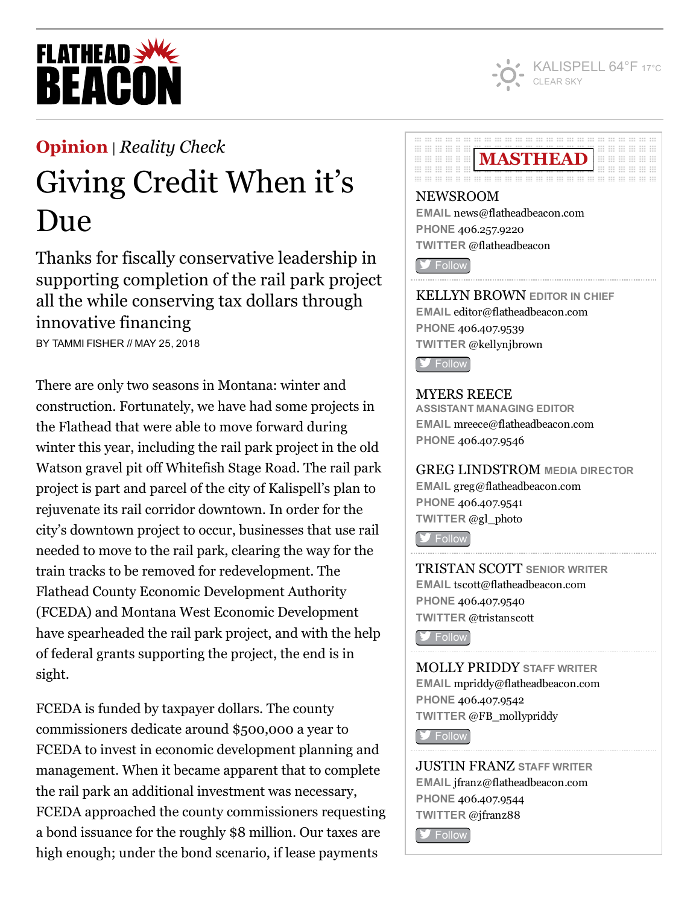

# **FLATHEAD SWE BEACO**

## [Opinion](http://flatheadbeacon.com/section/opinion/) | *[Reality](http://flatheadbeacon.com/section/opinion/reality-check/) Check*

## Giving Credit When it's Due

Thanks for fiscally conservative leadership in supporting completion of the rail park project all the while conserving tax dollars through innovative financing

BY TAMMI FISHER // MAY 25, 2018

There are only two seasons in Montana: winter and construction. Fortunately, we have had some projects in the Flathead that were able to move forward during winter this year, including the rail park project in the old Watson gravel pit off Whitefish Stage Road. The rail park project is part and parcel of the city of Kalispell's plan to rejuvenate its rail corridor downtown. In order for the city's downtown project to occur, businesses that use rail needed to move to the rail park, clearing the way for the train tracks to be removed for redevelopment. The Flathead County Economic Development Authority (FCEDA) and Montana West Economic Development have spearheaded the rail park project, and with the help of federal grants supporting the project, the end is in sight.

FCEDA is funded by taxpayer dollars. The county commissioners dedicate around \$500,000 a year to FCEDA to invest in economic development planning and management. When it became apparent that to complete the rail park an additional investment was necessary, FCEDA approached the county commissioners requesting a bond issuance for the roughly \$8 million. Our taxes are high enough; under the bond scenario, if lease payments

#### **00 00 00 00 00 00 00 00 00 00** MASTHEAD **::: ::: ::: ::: :: :: III III III II II** .............. ... ... ... ... ... ... ... ... ... . . . . . . . . .

## NEWSROOM EMAIL [news@flatheadbeacon.com](mailto:news@flatheadbeacon.com) PHONE [406.257.9220](tel:406.257.9220) TWITTER @flatheadbeacon

**S** [Follow](http://twitter.com/flatheadbeacon)

KELLYN BROWN EDITOR IN CHIEF EMAIL [editor@flatheadbeacon.com](mailto:editor@flatheadbeacon.com) PHONE [406.407.9539](tel:406.407.9539) TWITTER @kellynjbrown

**S** [Follow](http://twitter.com/kellynjbrown)

### MYERS REECE

ASSISTANT MANAGING EDITOR EMAIL [mreece@flatheadbeacon.com](mailto:mreece@flatheadbeacon.com) PHONE [406.407.9546](tel:406.407.9546)

### GREG LINDSTROM MEDIA DIRECTOR

EMAIL [greg@flatheadbeacon.com](mailto:greg@flatheadbeacon.com) PHONE [406.407.9541](tel:406.407.9541) TWITTER @gl\_photo

**[Follow](http://twitter.com/gl_photo)** 

TRISTAN SCOTT SENIOR WRITER EMAIL [tscott@flatheadbeacon.com](mailto:tscott@flatheadbeacon.com) PHONE [406.407.9540](tel:406.407.9540) TWITTER @tristanscott

**V** [Follow](http://twitter.com/tristanscott)

MOLLY PRIDDY STAFF WRITER EMAIL [mpriddy@flatheadbeacon.com](mailto:mpriddy@flatheadbeacon.com) PHONE [406.407.9542](tel:406.407.9542) TWITTER @FB\_mollypriddy

**[Follow](http://twitter.com/FB_mollypriddy)** 

JUSTIN FRANZ STAFF WRITER EMAIL [jfranz@flatheadbeacon.com](mailto:jfranz@flatheadbeacon.com) PHONE [406.407.9544](tel:406.407.9544) TWITTER @jfranz88

**S** [Follow](http://twitter.com/jfranz88)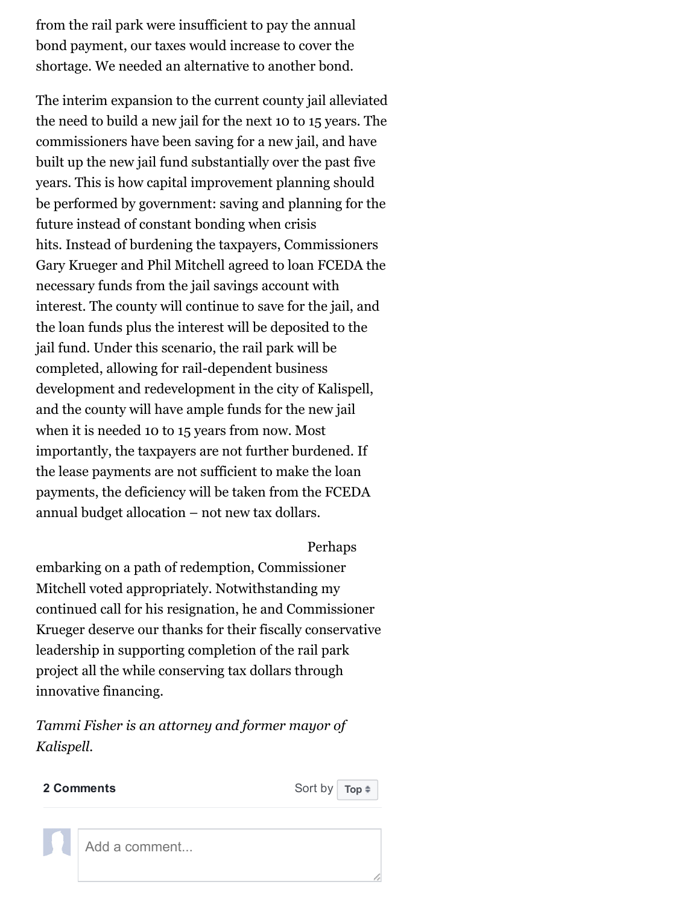from the rail park were insufficient to pay the annual bond payment, our taxes would increase to cover the shortage. We needed an alternative to another bond.

The interim expansion to the current county jail alleviated the need to build a new jail for the next 10 to 15 years. The commissioners have been saving for a new jail, and have built up the new jail fund substantially over the past five years. This is how capital improvement planning should be performed by government: saving and planning for the future instead of constant bonding when crisis hits. Instead of burdening the taxpayers, Commissioners Gary Krueger and Phil Mitchell agreed to loan FCEDA the necessary funds from the jail savings account with interest. The county will continue to save for the jail, and the loan funds plus the interest will be deposited to the jail fund. Under this scenario, the rail park will be completed, allowing for rail-dependent business development and redevelopment in the city of Kalispell, and the county will have ample funds for the new jail when it is needed 10 to 15 years from now. Most importantly, the taxpayers are not further burdened. If the lease payments are not sufficient to make the loan payments, the deficiency will be taken from the FCEDA annual budget allocation – not new tax dollars.

#### Perhaps

embarking on a path of redemption, Commissioner Mitchell voted appropriately. Notwithstanding my continued call for his resignation, he and Commissioner Krueger deserve our thanks for their fiscally conservative leadership in supporting completion of the rail park project all the while conserving tax dollars through innovative financing.

*Tammi Fisher is an attorney and former mayor of Kalispell.*



Add a comment...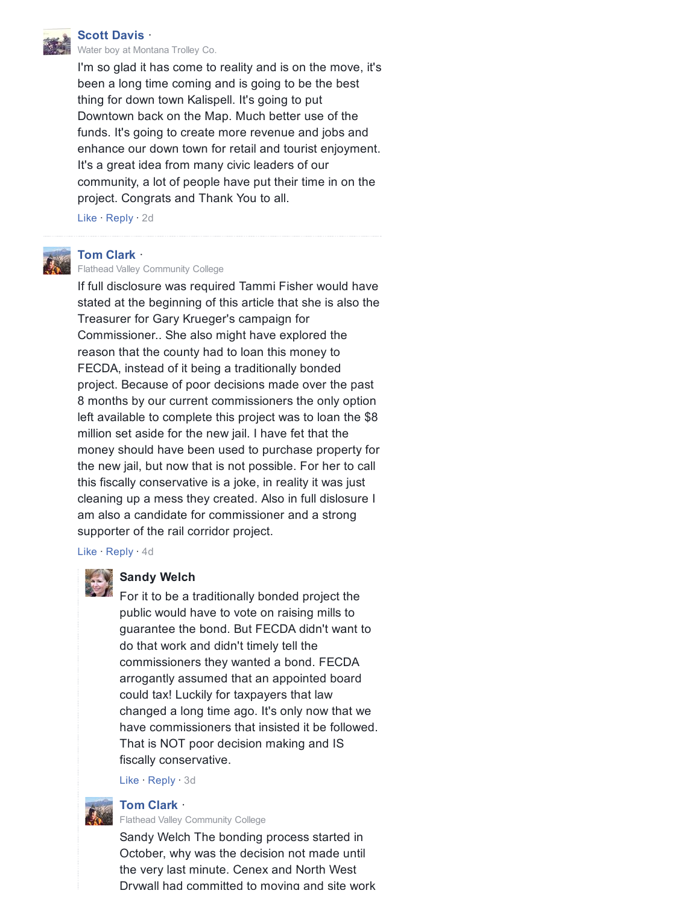Scott [Davis](https://www.facebook.com/muggsydaboss)  $\cdot$ [Water](https://www.facebook.com/pages/water-boy/1487255864706797) boy at [Montana](https://www.facebook.com/montanatrolleyco/) Trolley Co.

I'm so glad it has come to reality and is on the move, it's been a long time coming and is going to be the best thing for down town Kalispell. It's going to put Downtown back on the Map. Much better use of the funds. It's going to create more revenue and jobs and enhance our down town for retail and tourist enjoyment. It's a great idea from many civic leaders of our community, a lot of people have put their time in on the project. Congrats and Thank You to all.

Like · Reply · [2d](http://flatheadbeacon.com/2018/05/25/giving-credit-due/?fb_comment_id=1943553485715456_1945194722217999)



#### Tom [Clark](https://www.facebook.com/people/Tom-Clark/100024674796354) **·**

Flathead Valley [Community](https://www.facebook.com/pages/Flathead-Valley-Community-College/143584672979631) College

If full disclosure was required Tammi Fisher would have stated at the beginning of this article that she is also the Treasurer for Gary Krueger's campaign for Commissioner.. She also might have explored the reason that the county had to loan this money to FECDA, instead of it being a traditionally bonded project. Because of poor decisions made over the past 8 months by our current commissioners the only option left available to complete this project was to loan the \$8 million set aside for the new jail. I have fet that the money should have been used to purchase property for the new jail, but now that is not possible. For her to call this fiscally conservative is a joke, in reality it was just cleaning up a mess they created. Also in full dislosure I am also a candidate for commissioner and a strong supporter of the rail corridor project.

Like · Reply · [4d](http://flatheadbeacon.com/2018/05/25/giving-credit-due/?fb_comment_id=1943553485715456_1943741119030026)

#### Sandy Welch

For it to be a traditionally bonded project the public would have to vote on raising mills to guarantee the bond. But FECDA didn't want to do that work and didn't timely tell the commissioners they wanted a bond. FECDA arrogantly assumed that an appointed board could tax! Luckily for taxpayers that law changed a long time ago. It's only now that we have commissioners that insisted it be followed. That is NOT poor decision making and IS fiscally conservative.

Like · Reply · 3d

Tom [Clark](https://www.facebook.com/people/Tom-Clark/100024674796354)  $\cdot$ Flathead Valley [Community](https://www.facebook.com/pages/Flathead-Valley-Community-College/143584672979631) College

Sandy Welch The bonding process started in October, why was the decision not made until the very last minute. Cenex and North West Drywall had committed to moving and site work